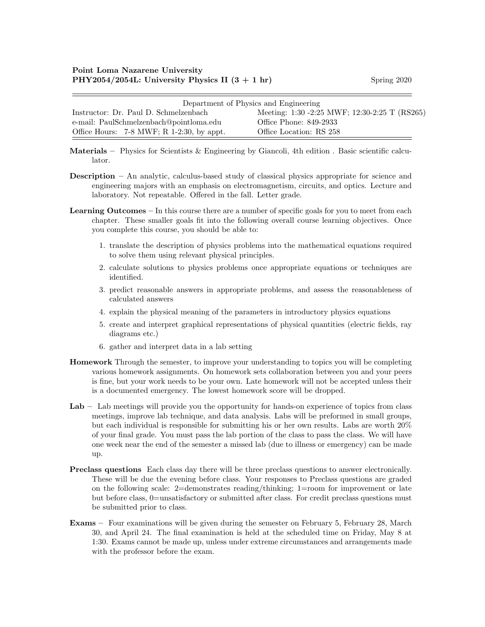| Department of Physics and Engineering       |                                               |  |  |  |
|---------------------------------------------|-----------------------------------------------|--|--|--|
| Instructor: Dr. Paul D. Schmelzenbach       | Meeting: 1:30 -2:25 MWF; 12:30-2:25 T (RS265) |  |  |  |
| e-mail: PaulSchmelzenbach@pointloma.edu     | Office Phone: 849-2933                        |  |  |  |
| Office Hours: $7-8$ MWF; R 1-2:30, by appt. | Office Location: RS 258                       |  |  |  |

- Materials Physics for Scientists & Engineering by Giancoli, 4th edition. Basic scientific calculator.
- Description An analytic, calculus-based study of classical physics appropriate for science and engineering majors with an emphasis on electromagnetism, circuits, and optics. Lecture and laboratory. Not repeatable. Offered in the fall. Letter grade.
- Learning Outcomes In this course there are a number of specific goals for you to meet from each chapter. These smaller goals fit into the following overall course learning objectives. Once you complete this course, you should be able to:
	- 1. translate the description of physics problems into the mathematical equations required to solve them using relevant physical principles.
	- 2. calculate solutions to physics problems once appropriate equations or techniques are identified.
	- 3. predict reasonable answers in appropriate problems, and assess the reasonableness of calculated answers
	- 4. explain the physical meaning of the parameters in introductory physics equations
	- 5. create and interpret graphical representations of physical quantities (electric fields, ray diagrams etc.)
	- 6. gather and interpret data in a lab setting
- Homework Through the semester, to improve your understanding to topics you will be completing various homework assignments. On homework sets collaboration between you and your peers is fine, but your work needs to be your own. Late homework will not be accepted unless their is a documented emergency. The lowest homework score will be dropped.
- Lab Lab meetings will provide you the opportunity for hands-on experience of topics from class meetings, improve lab technique, and data analysis. Labs will be preformed in small groups, but each individual is responsible for submitting his or her own results. Labs are worth 20% of your final grade. You must pass the lab portion of the class to pass the class. We will have one week near the end of the semester a missed lab (due to illness or emergency) can be made up.
- Preclass questions Each class day there will be three preclass questions to answer electronically. These will be due the evening before class. Your responses to Preclass questions are graded on the following scale: 2=demonstrates reading/thinking; 1=room for improvement or late but before class, 0=unsatisfactory or submitted after class. For credit preclass questions must be submitted prior to class.
- Exams Four examinations will be given during the semester on February 5, February 28, March 30, and April 24. The final examination is held at the scheduled time on Friday, May 8 at 1:30. Exams cannot be made up, unless under extreme circumstances and arrangements made with the professor before the exam.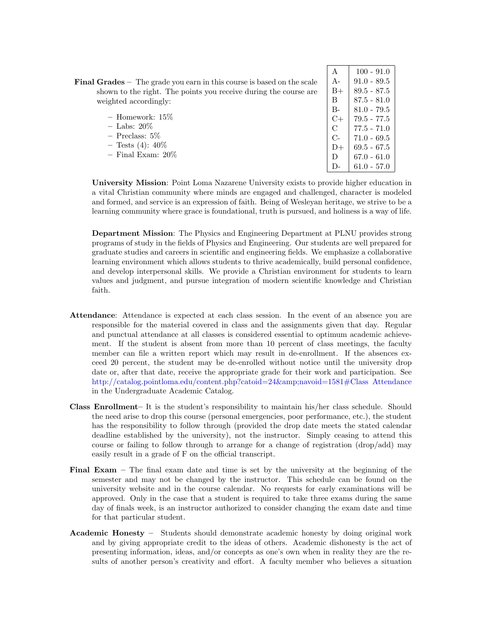| $\mathbf{A}$ | $100 - 91.0$      |
|--------------|-------------------|
| $A -$        | $91.0 - 89.5$     |
| B+           | $89.5 - 87.5$     |
| B            | $87.5 - 81.0$     |
| $B -$        | $81.0 - 79.5$     |
| C+           | 79.5 - 77.5       |
| C.           | $77.5 - 71.0$     |
| $C_{\Xi}$    | 71.0 - 69.5       |
| D+           | 69.5 - 67.5       |
| D.           | 67.0 - 61.0       |
| $\mathsf{D}$ | $61.0$ - $57.0\,$ |

**Final Grades** – The grade you earn in this course is based on the scale shown to the right. The points you receive during the course are weighted accordingly:

| $-$ Homework: $15\%$   |
|------------------------|
| $-$ Labs: 20%          |
| – Preclass: 5%         |
| $-$ Tests (4): $40\%$  |
| $-$ Final Exam: $20\%$ |

University Mission: Point Loma Nazarene University exists to provide higher education in a vital Christian community where minds are engaged and challenged, character is modeled and formed, and service is an expression of faith. Being of Wesleyan heritage, we strive to be a learning community where grace is foundational, truth is pursued, and holiness is a way of life.

Department Mission: The Physics and Engineering Department at PLNU provides strong programs of study in the fields of Physics and Engineering. Our students are well prepared for graduate studies and careers in scientific and engineering fields. We emphasize a collaborative learning environment which allows students to thrive academically, build personal confidence, and develop interpersonal skills. We provide a Christian environment for students to learn values and judgment, and pursue integration of modern scientific knowledge and Christian faith.

- Attendance: Attendance is expected at each class session. In the event of an absence you are responsible for the material covered in class and the assignments given that day. Regular and punctual attendance at all classes is considered essential to optimum academic achievement. If the student is absent from more than 10 percent of class meetings, the faculty member can file a written report which may result in de-enrollment. If the absences exceed 20 percent, the student may be de-enrolled without notice until the university drop date or, after that date, receive the appropriate grade for their work and participation. See [http://catalog.pointloma.edu/content.php?catoid=24&navoid=1581#Class Attendance](http://catalog.pointloma.edu/content.php?catoid=24&navoid=1581) in the Undergraduate Academic Catalog.
- Class Enrollment– It is the student's responsibility to maintain his/her class schedule. Should the need arise to drop this course (personal emergencies, poor performance, etc.), the student has the responsibility to follow through (provided the drop date meets the stated calendar deadline established by the university), not the instructor. Simply ceasing to attend this course or failing to follow through to arrange for a change of registration (drop/add) may easily result in a grade of F on the official transcript.
- Final Exam The final exam date and time is set by the university at the beginning of the semester and may not be changed by the instructor. This schedule can be found on the university website and in the course calendar. No requests for early examinations will be approved. Only in the case that a student is required to take three exams during the same day of finals week, is an instructor authorized to consider changing the exam date and time for that particular student.
- Academic Honesty Students should demonstrate academic honesty by doing original work and by giving appropriate credit to the ideas of others. Academic dishonesty is the act of presenting information, ideas, and/or concepts as one's own when in reality they are the results of another person's creativity and effort. A faculty member who believes a situation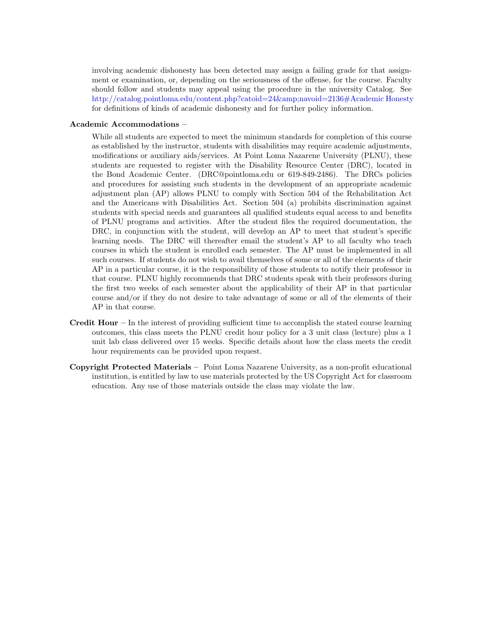involving academic dishonesty has been detected may assign a failing grade for that assignment or examination, or, depending on the seriousness of the offense, for the course. Faculty should follow and students may appeal using the procedure in the university Catalog. See [http://catalog.pointloma.edu/content.php?catoid=24&navoid=2136#Academic Honesty](http://catalog.pointloma.edu/content.php?catoid=24&navoid=2136) for definitions of kinds of academic dishonesty and for further policy information.

## Academic Accommodations –

While all students are expected to meet the minimum standards for completion of this course as established by the instructor, students with disabilities may require academic adjustments, modifications or auxiliary aids/services. At Point Loma Nazarene University (PLNU), these students are requested to register with the Disability Resource Center (DRC), located in the Bond Academic Center. (DRC@pointloma.edu or 619-849-2486). The DRCs policies and procedures for assisting such students in the development of an appropriate academic adjustment plan (AP) allows PLNU to comply with Section 504 of the Rehabilitation Act and the Americans with Disabilities Act. Section 504 (a) prohibits discrimination against students with special needs and guarantees all qualified students equal access to and benefits of PLNU programs and activities. After the student files the required documentation, the DRC, in conjunction with the student, will develop an AP to meet that student's specific learning needs. The DRC will thereafter email the student's AP to all faculty who teach courses in which the student is enrolled each semester. The AP must be implemented in all such courses. If students do not wish to avail themselves of some or all of the elements of their AP in a particular course, it is the responsibility of those students to notify their professor in that course. PLNU highly recommends that DRC students speak with their professors during the first two weeks of each semester about the applicability of their AP in that particular course and/or if they do not desire to take advantage of some or all of the elements of their AP in that course.

- **Credit Hour** In the interest of providing sufficient time to accomplish the stated course learning outcomes, this class meets the PLNU credit hour policy for a 3 unit class (lecture) plus a 1 unit lab class delivered over 15 weeks. Specific details about how the class meets the credit hour requirements can be provided upon request.
- Copyright Protected Materials Point Loma Nazarene University, as a non-profit educational institution, is entitled by law to use materials protected by the US Copyright Act for classroom education. Any use of those materials outside the class may violate the law.